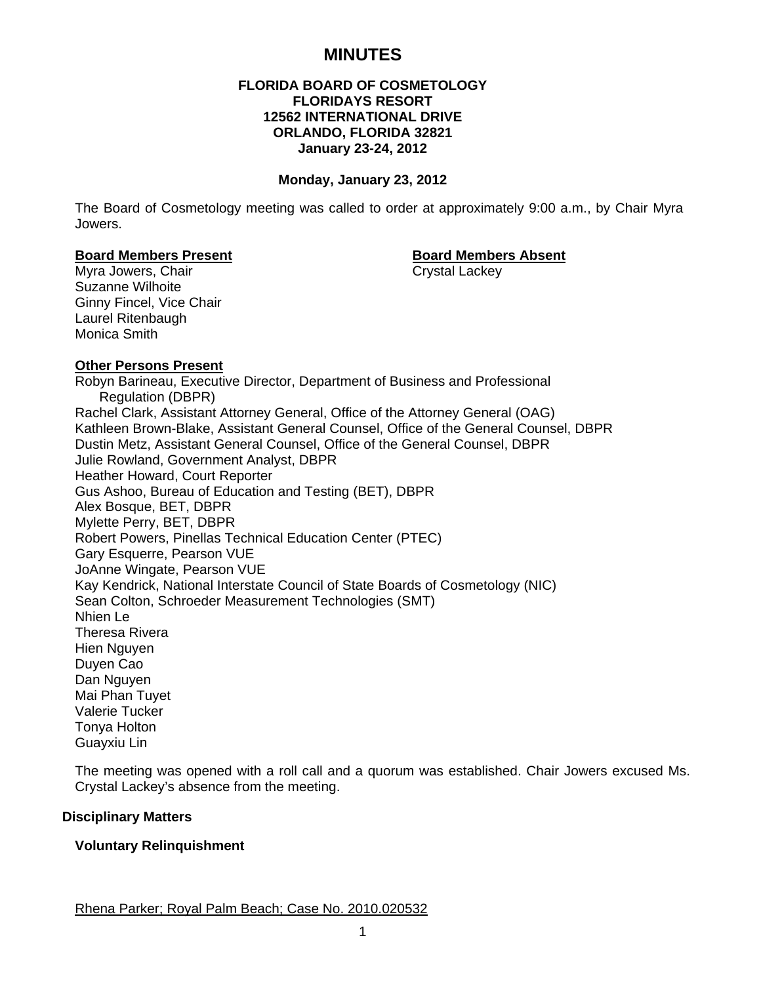# **MINUTES**

# **FLORIDA BOARD OF COSMETOLOGY FLORIDAYS RESORT 12562 INTERNATIONAL DRIVE ORLANDO, FLORIDA 32821 January 23-24, 2012**

#### **Monday, January 23, 2012**

The Board of Cosmetology meeting was called to order at approximately 9:00 a.m., by Chair Myra Jowers.

#### **Board Members Present Communist Communist Board Members Absent**

Myra Jowers, Chair Chair Chair Crystal Lackey Suzanne Wilhoite Ginny Fincel, Vice Chair Laurel Ritenbaugh Monica Smith

#### **Other Persons Present**

Robyn Barineau, Executive Director, Department of Business and Professional Regulation (DBPR) Rachel Clark, Assistant Attorney General, Office of the Attorney General (OAG) Kathleen Brown-Blake, Assistant General Counsel, Office of the General Counsel, DBPR Dustin Metz, Assistant General Counsel, Office of the General Counsel, DBPR Julie Rowland, Government Analyst, DBPR Heather Howard, Court Reporter Gus Ashoo, Bureau of Education and Testing (BET), DBPR Alex Bosque, BET, DBPR Mylette Perry, BET, DBPR Robert Powers, Pinellas Technical Education Center (PTEC) Gary Esquerre, Pearson VUE JoAnne Wingate, Pearson VUE Kay Kendrick, National Interstate Council of State Boards of Cosmetology (NIC) Sean Colton, Schroeder Measurement Technologies (SMT) Nhien Le Theresa Rivera Hien Nguyen Duyen Cao Dan Nguyen Mai Phan Tuyet Valerie Tucker Tonya Holton Guayxiu Lin

The meeting was opened with a roll call and a quorum was established. Chair Jowers excused Ms. Crystal Lackey's absence from the meeting.

#### **Disciplinary Matters**

#### **Voluntary Relinquishment**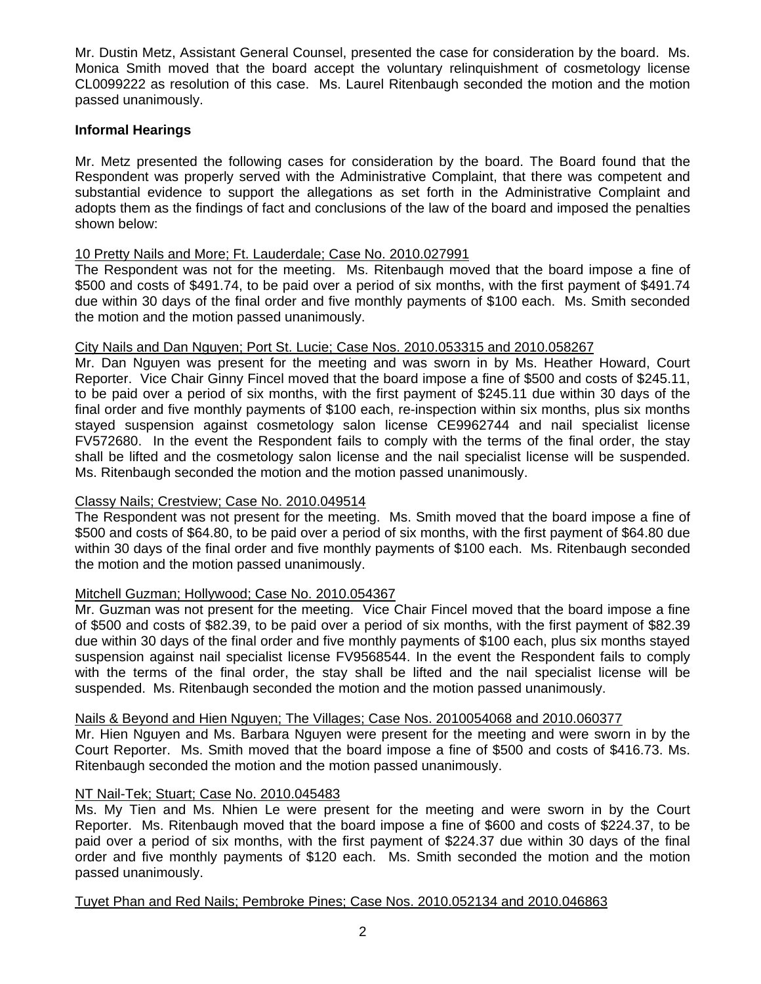Mr. Dustin Metz, Assistant General Counsel, presented the case for consideration by the board. Ms. Monica Smith moved that the board accept the voluntary relinquishment of cosmetology license CL0099222 as resolution of this case. Ms. Laurel Ritenbaugh seconded the motion and the motion passed unanimously.

# **Informal Hearings**

Mr. Metz presented the following cases for consideration by the board. The Board found that the Respondent was properly served with the Administrative Complaint, that there was competent and substantial evidence to support the allegations as set forth in the Administrative Complaint and adopts them as the findings of fact and conclusions of the law of the board and imposed the penalties shown below:

# 10 Pretty Nails and More; Ft. Lauderdale; Case No. 2010.027991

The Respondent was not for the meeting. Ms. Ritenbaugh moved that the board impose a fine of \$500 and costs of \$491.74, to be paid over a period of six months, with the first payment of \$491.74 due within 30 days of the final order and five monthly payments of \$100 each. Ms. Smith seconded the motion and the motion passed unanimously.

# City Nails and Dan Nguyen; Port St. Lucie; Case Nos. 2010.053315 and 2010.058267

Mr. Dan Nguyen was present for the meeting and was sworn in by Ms. Heather Howard, Court Reporter. Vice Chair Ginny Fincel moved that the board impose a fine of \$500 and costs of \$245.11, to be paid over a period of six months, with the first payment of \$245.11 due within 30 days of the final order and five monthly payments of \$100 each, re-inspection within six months, plus six months stayed suspension against cosmetology salon license CE9962744 and nail specialist license FV572680. In the event the Respondent fails to comply with the terms of the final order, the stay shall be lifted and the cosmetology salon license and the nail specialist license will be suspended. Ms. Ritenbaugh seconded the motion and the motion passed unanimously.

# Classy Nails; Crestview; Case No. 2010.049514

The Respondent was not present for the meeting. Ms. Smith moved that the board impose a fine of \$500 and costs of \$64.80, to be paid over a period of six months, with the first payment of \$64.80 due within 30 days of the final order and five monthly payments of \$100 each. Ms. Ritenbaugh seconded the motion and the motion passed unanimously.

# Mitchell Guzman; Hollywood; Case No. 2010.054367

Mr. Guzman was not present for the meeting. Vice Chair Fincel moved that the board impose a fine of \$500 and costs of \$82.39, to be paid over a period of six months, with the first payment of \$82.39 due within 30 days of the final order and five monthly payments of \$100 each, plus six months stayed suspension against nail specialist license FV9568544. In the event the Respondent fails to comply with the terms of the final order, the stay shall be lifted and the nail specialist license will be suspended. Ms. Ritenbaugh seconded the motion and the motion passed unanimously.

# Nails & Beyond and Hien Nguyen; The Villages; Case Nos. 2010054068 and 2010.060377

Mr. Hien Nguyen and Ms. Barbara Nguyen were present for the meeting and were sworn in by the Court Reporter. Ms. Smith moved that the board impose a fine of \$500 and costs of \$416.73. Ms. Ritenbaugh seconded the motion and the motion passed unanimously.

# NT Nail-Tek; Stuart; Case No. 2010.045483

Ms. My Tien and Ms. Nhien Le were present for the meeting and were sworn in by the Court Reporter. Ms. Ritenbaugh moved that the board impose a fine of \$600 and costs of \$224.37, to be paid over a period of six months, with the first payment of \$224.37 due within 30 days of the final order and five monthly payments of \$120 each. Ms. Smith seconded the motion and the motion passed unanimously.

#### Tuyet Phan and Red Nails; Pembroke Pines; Case Nos. 2010.052134 and 2010.046863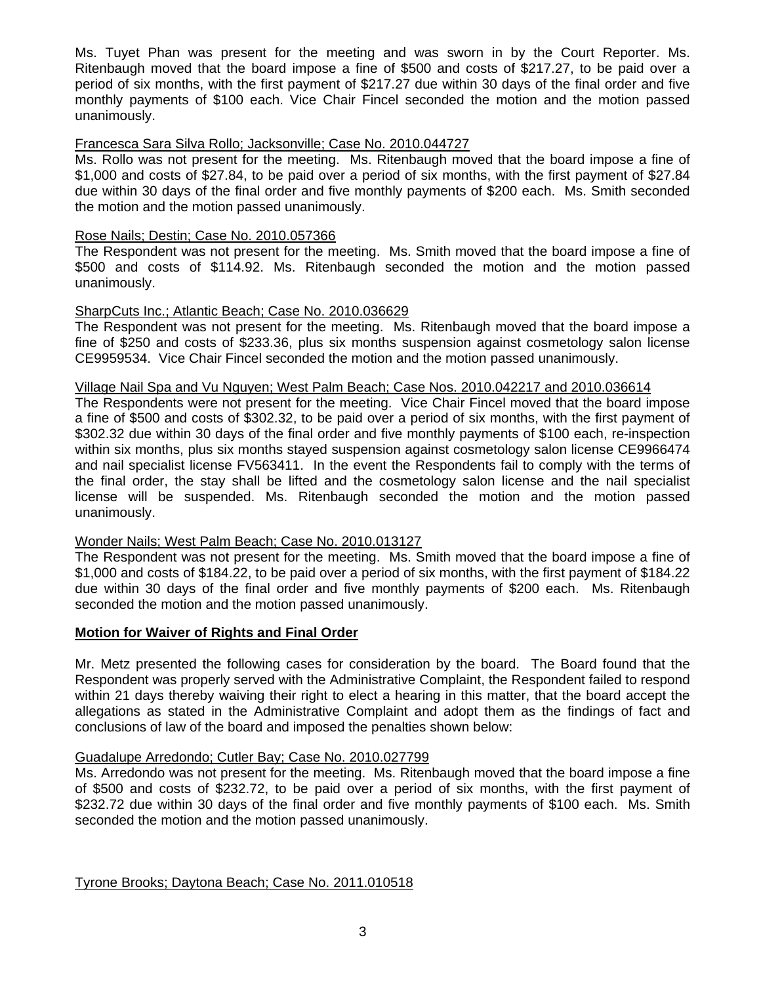Ms. Tuyet Phan was present for the meeting and was sworn in by the Court Reporter. Ms. Ritenbaugh moved that the board impose a fine of \$500 and costs of \$217.27, to be paid over a period of six months, with the first payment of \$217.27 due within 30 days of the final order and five monthly payments of \$100 each. Vice Chair Fincel seconded the motion and the motion passed unanimously.

# Francesca Sara Silva Rollo; Jacksonville; Case No. 2010.044727

Ms. Rollo was not present for the meeting. Ms. Ritenbaugh moved that the board impose a fine of \$1,000 and costs of \$27.84, to be paid over a period of six months, with the first payment of \$27.84 due within 30 days of the final order and five monthly payments of \$200 each. Ms. Smith seconded the motion and the motion passed unanimously.

# Rose Nails; Destin; Case No. 2010.057366

The Respondent was not present for the meeting. Ms. Smith moved that the board impose a fine of \$500 and costs of \$114.92. Ms. Ritenbaugh seconded the motion and the motion passed unanimously.

# SharpCuts Inc.; Atlantic Beach; Case No. 2010.036629

The Respondent was not present for the meeting. Ms. Ritenbaugh moved that the board impose a fine of \$250 and costs of \$233.36, plus six months suspension against cosmetology salon license CE9959534. Vice Chair Fincel seconded the motion and the motion passed unanimously.

# Village Nail Spa and Vu Nguyen; West Palm Beach; Case Nos. 2010.042217 and 2010.036614

The Respondents were not present for the meeting. Vice Chair Fincel moved that the board impose a fine of \$500 and costs of \$302.32, to be paid over a period of six months, with the first payment of \$302.32 due within 30 days of the final order and five monthly payments of \$100 each, re-inspection within six months, plus six months stayed suspension against cosmetology salon license CE9966474 and nail specialist license FV563411. In the event the Respondents fail to comply with the terms of the final order, the stay shall be lifted and the cosmetology salon license and the nail specialist license will be suspended. Ms. Ritenbaugh seconded the motion and the motion passed unanimously.

# Wonder Nails; West Palm Beach; Case No. 2010.013127

The Respondent was not present for the meeting. Ms. Smith moved that the board impose a fine of \$1,000 and costs of \$184.22, to be paid over a period of six months, with the first payment of \$184.22 due within 30 days of the final order and five monthly payments of \$200 each. Ms. Ritenbaugh seconded the motion and the motion passed unanimously.

# **Motion for Waiver of Rights and Final Order**

Mr. Metz presented the following cases for consideration by the board. The Board found that the Respondent was properly served with the Administrative Complaint, the Respondent failed to respond within 21 days thereby waiving their right to elect a hearing in this matter, that the board accept the allegations as stated in the Administrative Complaint and adopt them as the findings of fact and conclusions of law of the board and imposed the penalties shown below:

#### Guadalupe Arredondo; Cutler Bay; Case No. 2010.027799

Ms. Arredondo was not present for the meeting. Ms. Ritenbaugh moved that the board impose a fine of \$500 and costs of \$232.72, to be paid over a period of six months, with the first payment of \$232.72 due within 30 days of the final order and five monthly payments of \$100 each. Ms. Smith seconded the motion and the motion passed unanimously.

Tyrone Brooks; Daytona Beach; Case No. 2011.010518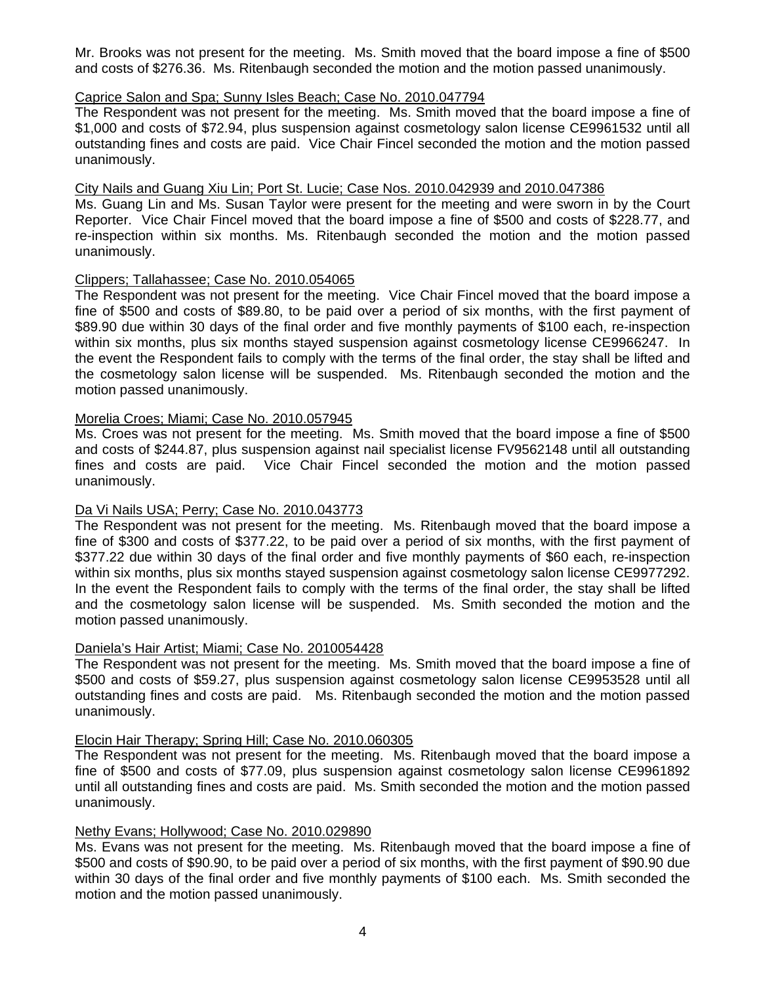Mr. Brooks was not present for the meeting. Ms. Smith moved that the board impose a fine of \$500 and costs of \$276.36. Ms. Ritenbaugh seconded the motion and the motion passed unanimously.

# Caprice Salon and Spa; Sunny Isles Beach; Case No. 2010.047794

The Respondent was not present for the meeting. Ms. Smith moved that the board impose a fine of \$1,000 and costs of \$72.94, plus suspension against cosmetology salon license CE9961532 until all outstanding fines and costs are paid. Vice Chair Fincel seconded the motion and the motion passed unanimously.

# City Nails and Guang Xiu Lin; Port St. Lucie; Case Nos. 2010.042939 and 2010.047386

Ms. Guang Lin and Ms. Susan Taylor were present for the meeting and were sworn in by the Court Reporter. Vice Chair Fincel moved that the board impose a fine of \$500 and costs of \$228.77, and re-inspection within six months. Ms. Ritenbaugh seconded the motion and the motion passed unanimously.

# Clippers; Tallahassee; Case No. 2010.054065

The Respondent was not present for the meeting. Vice Chair Fincel moved that the board impose a fine of \$500 and costs of \$89.80, to be paid over a period of six months, with the first payment of \$89.90 due within 30 days of the final order and five monthly payments of \$100 each, re-inspection within six months, plus six months stayed suspension against cosmetology license CE9966247. In the event the Respondent fails to comply with the terms of the final order, the stay shall be lifted and the cosmetology salon license will be suspended. Ms. Ritenbaugh seconded the motion and the motion passed unanimously.

# Morelia Croes; Miami; Case No. 2010.057945

Ms. Croes was not present for the meeting. Ms. Smith moved that the board impose a fine of \$500 and costs of \$244.87, plus suspension against nail specialist license FV9562148 until all outstanding fines and costs are paid. Vice Chair Fincel seconded the motion and the motion passed unanimously.

# Da Vi Nails USA; Perry; Case No. 2010.043773

The Respondent was not present for the meeting. Ms. Ritenbaugh moved that the board impose a fine of \$300 and costs of \$377.22, to be paid over a period of six months, with the first payment of \$377.22 due within 30 days of the final order and five monthly payments of \$60 each, re-inspection within six months, plus six months stayed suspension against cosmetology salon license CE9977292. In the event the Respondent fails to comply with the terms of the final order, the stay shall be lifted and the cosmetology salon license will be suspended. Ms. Smith seconded the motion and the motion passed unanimously.

#### Daniela's Hair Artist; Miami; Case No. 2010054428

The Respondent was not present for the meeting. Ms. Smith moved that the board impose a fine of \$500 and costs of \$59.27, plus suspension against cosmetology salon license CE9953528 until all outstanding fines and costs are paid. Ms. Ritenbaugh seconded the motion and the motion passed unanimously.

#### Elocin Hair Therapy; Spring Hill; Case No. 2010.060305

The Respondent was not present for the meeting. Ms. Ritenbaugh moved that the board impose a fine of \$500 and costs of \$77.09, plus suspension against cosmetology salon license CE9961892 until all outstanding fines and costs are paid. Ms. Smith seconded the motion and the motion passed unanimously.

#### Nethy Evans; Hollywood; Case No. 2010.029890

Ms. Evans was not present for the meeting. Ms. Ritenbaugh moved that the board impose a fine of \$500 and costs of \$90.90, to be paid over a period of six months, with the first payment of \$90.90 due within 30 days of the final order and five monthly payments of \$100 each. Ms. Smith seconded the motion and the motion passed unanimously.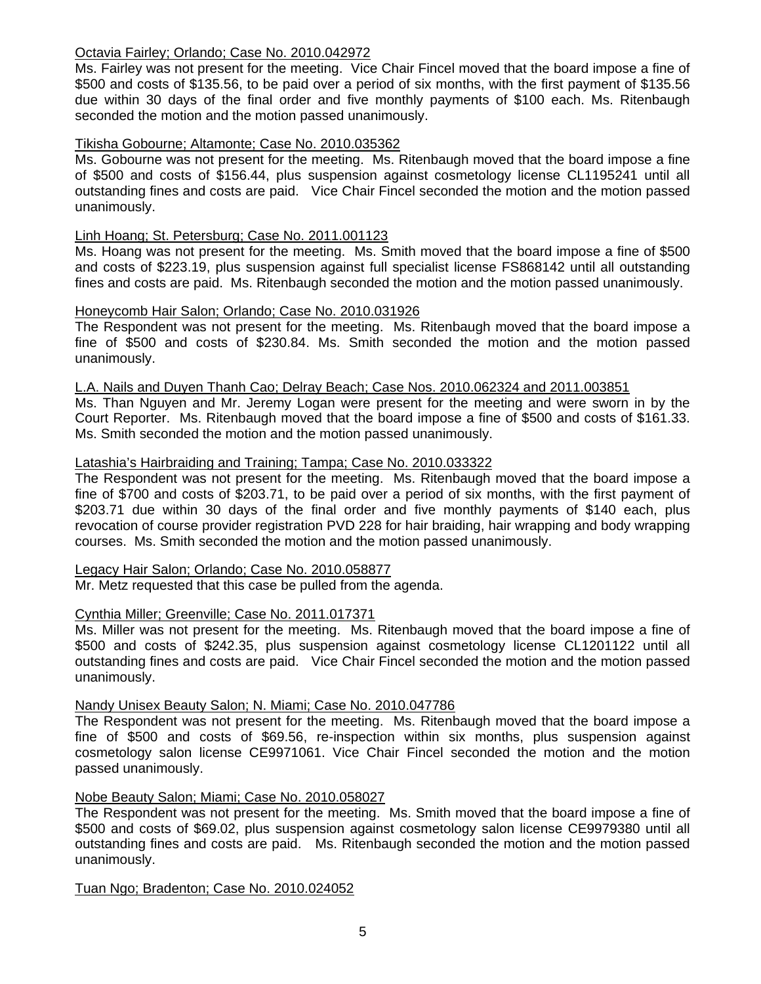# Octavia Fairley; Orlando; Case No. 2010.042972

Ms. Fairley was not present for the meeting. Vice Chair Fincel moved that the board impose a fine of \$500 and costs of \$135.56, to be paid over a period of six months, with the first payment of \$135.56 due within 30 days of the final order and five monthly payments of \$100 each. Ms. Ritenbaugh seconded the motion and the motion passed unanimously.

# Tikisha Gobourne; Altamonte; Case No. 2010.035362

Ms. Gobourne was not present for the meeting. Ms. Ritenbaugh moved that the board impose a fine of \$500 and costs of \$156.44, plus suspension against cosmetology license CL1195241 until all outstanding fines and costs are paid. Vice Chair Fincel seconded the motion and the motion passed unanimously.

# Linh Hoang; St. Petersburg; Case No. 2011.001123

Ms. Hoang was not present for the meeting. Ms. Smith moved that the board impose a fine of \$500 and costs of \$223.19, plus suspension against full specialist license FS868142 until all outstanding fines and costs are paid. Ms. Ritenbaugh seconded the motion and the motion passed unanimously.

# Honeycomb Hair Salon; Orlando; Case No. 2010.031926

The Respondent was not present for the meeting. Ms. Ritenbaugh moved that the board impose a fine of \$500 and costs of \$230.84. Ms. Smith seconded the motion and the motion passed unanimously.

#### L.A. Nails and Duyen Thanh Cao; Delray Beach; Case Nos. 2010.062324 and 2011.003851

Ms. Than Nguyen and Mr. Jeremy Logan were present for the meeting and were sworn in by the Court Reporter. Ms. Ritenbaugh moved that the board impose a fine of \$500 and costs of \$161.33. Ms. Smith seconded the motion and the motion passed unanimously.

#### Latashia's Hairbraiding and Training; Tampa; Case No. 2010.033322

The Respondent was not present for the meeting. Ms. Ritenbaugh moved that the board impose a fine of \$700 and costs of \$203.71, to be paid over a period of six months, with the first payment of \$203.71 due within 30 days of the final order and five monthly payments of \$140 each, plus revocation of course provider registration PVD 228 for hair braiding, hair wrapping and body wrapping courses. Ms. Smith seconded the motion and the motion passed unanimously.

#### Legacy Hair Salon; Orlando; Case No. 2010.058877

Mr. Metz requested that this case be pulled from the agenda.

# Cynthia Miller; Greenville; Case No. 2011.017371

Ms. Miller was not present for the meeting. Ms. Ritenbaugh moved that the board impose a fine of \$500 and costs of \$242.35, plus suspension against cosmetology license CL1201122 until all outstanding fines and costs are paid. Vice Chair Fincel seconded the motion and the motion passed unanimously.

#### Nandy Unisex Beauty Salon; N. Miami; Case No. 2010.047786

The Respondent was not present for the meeting. Ms. Ritenbaugh moved that the board impose a fine of \$500 and costs of \$69.56, re-inspection within six months, plus suspension against cosmetology salon license CE9971061. Vice Chair Fincel seconded the motion and the motion passed unanimously.

#### Nobe Beauty Salon; Miami; Case No. 2010.058027

The Respondent was not present for the meeting. Ms. Smith moved that the board impose a fine of \$500 and costs of \$69.02, plus suspension against cosmetology salon license CE9979380 until all outstanding fines and costs are paid. Ms. Ritenbaugh seconded the motion and the motion passed unanimously.

Tuan Ngo; Bradenton; Case No. 2010.024052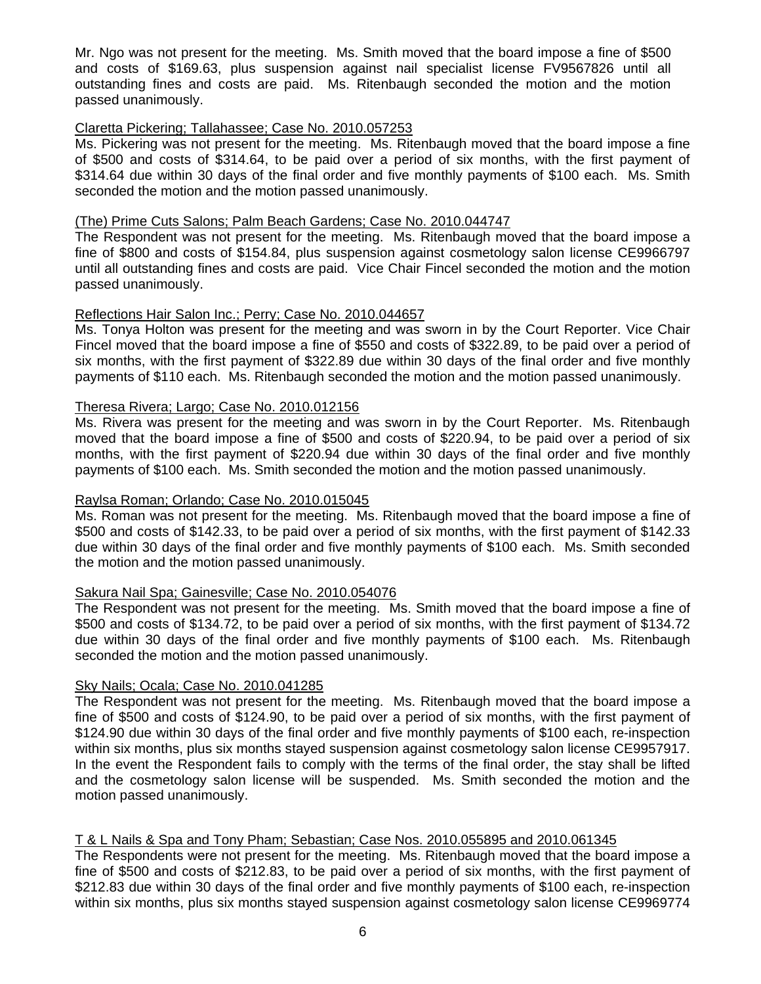Mr. Ngo was not present for the meeting. Ms. Smith moved that the board impose a fine of \$500 and costs of \$169.63, plus suspension against nail specialist license FV9567826 until all outstanding fines and costs are paid. Ms. Ritenbaugh seconded the motion and the motion passed unanimously.

# Claretta Pickering; Tallahassee; Case No. 2010.057253

Ms. Pickering was not present for the meeting. Ms. Ritenbaugh moved that the board impose a fine of \$500 and costs of \$314.64, to be paid over a period of six months, with the first payment of \$314.64 due within 30 days of the final order and five monthly payments of \$100 each. Ms. Smith seconded the motion and the motion passed unanimously.

#### (The) Prime Cuts Salons; Palm Beach Gardens; Case No. 2010.044747

The Respondent was not present for the meeting. Ms. Ritenbaugh moved that the board impose a fine of \$800 and costs of \$154.84, plus suspension against cosmetology salon license CE9966797 until all outstanding fines and costs are paid. Vice Chair Fincel seconded the motion and the motion passed unanimously.

#### Reflections Hair Salon Inc.; Perry; Case No. 2010.044657

Ms. Tonya Holton was present for the meeting and was sworn in by the Court Reporter. Vice Chair Fincel moved that the board impose a fine of \$550 and costs of \$322.89, to be paid over a period of six months, with the first payment of \$322.89 due within 30 days of the final order and five monthly payments of \$110 each. Ms. Ritenbaugh seconded the motion and the motion passed unanimously.

#### Theresa Rivera; Largo; Case No. 2010.012156

Ms. Rivera was present for the meeting and was sworn in by the Court Reporter. Ms. Ritenbaugh moved that the board impose a fine of \$500 and costs of \$220.94, to be paid over a period of six months, with the first payment of \$220.94 due within 30 days of the final order and five monthly payments of \$100 each. Ms. Smith seconded the motion and the motion passed unanimously.

#### Raylsa Roman; Orlando; Case No. 2010.015045

Ms. Roman was not present for the meeting. Ms. Ritenbaugh moved that the board impose a fine of \$500 and costs of \$142.33, to be paid over a period of six months, with the first payment of \$142.33 due within 30 days of the final order and five monthly payments of \$100 each. Ms. Smith seconded the motion and the motion passed unanimously.

#### Sakura Nail Spa; Gainesville; Case No. 2010.054076

The Respondent was not present for the meeting. Ms. Smith moved that the board impose a fine of \$500 and costs of \$134.72, to be paid over a period of six months, with the first payment of \$134.72 due within 30 days of the final order and five monthly payments of \$100 each. Ms. Ritenbaugh seconded the motion and the motion passed unanimously.

#### Sky Nails; Ocala; Case No. 2010.041285

The Respondent was not present for the meeting. Ms. Ritenbaugh moved that the board impose a fine of \$500 and costs of \$124.90, to be paid over a period of six months, with the first payment of \$124.90 due within 30 days of the final order and five monthly payments of \$100 each, re-inspection within six months, plus six months stayed suspension against cosmetology salon license CE9957917. In the event the Respondent fails to comply with the terms of the final order, the stay shall be lifted and the cosmetology salon license will be suspended. Ms. Smith seconded the motion and the motion passed unanimously.

#### T & L Nails & Spa and Tony Pham; Sebastian; Case Nos. 2010.055895 and 2010.061345

The Respondents were not present for the meeting. Ms. Ritenbaugh moved that the board impose a fine of \$500 and costs of \$212.83, to be paid over a period of six months, with the first payment of \$212.83 due within 30 days of the final order and five monthly payments of \$100 each, re-inspection within six months, plus six months stayed suspension against cosmetology salon license CE9969774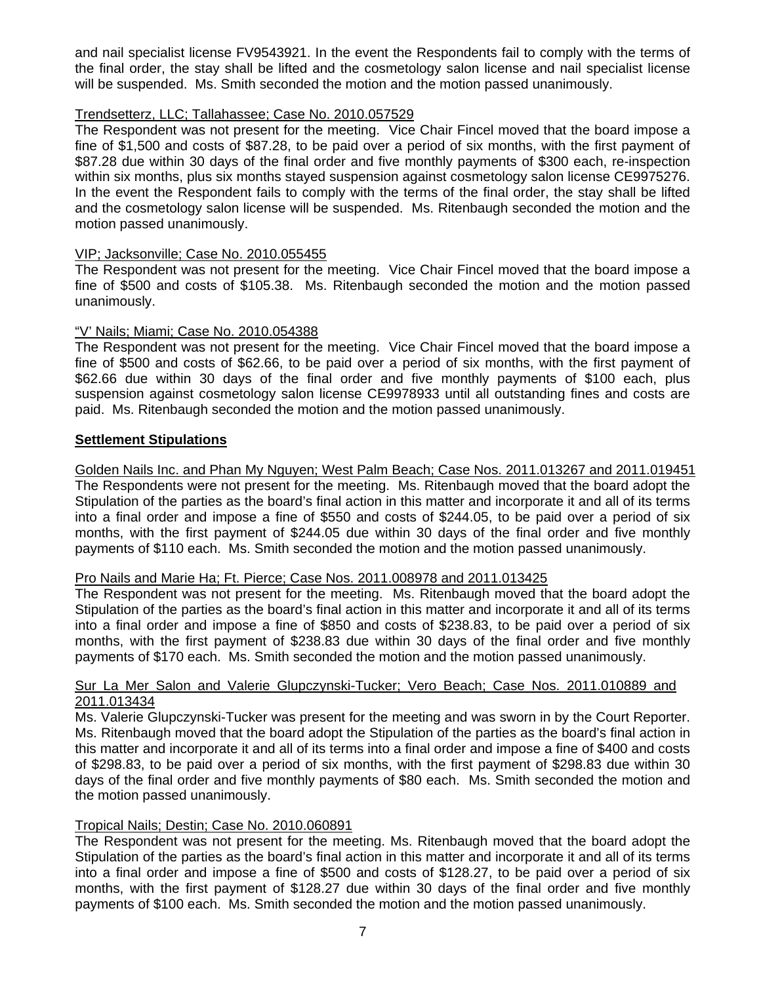and nail specialist license FV9543921. In the event the Respondents fail to comply with the terms of the final order, the stay shall be lifted and the cosmetology salon license and nail specialist license will be suspended. Ms. Smith seconded the motion and the motion passed unanimously.

# Trendsetterz, LLC; Tallahassee; Case No. 2010.057529

The Respondent was not present for the meeting. Vice Chair Fincel moved that the board impose a fine of \$1,500 and costs of \$87.28, to be paid over a period of six months, with the first payment of \$87.28 due within 30 days of the final order and five monthly payments of \$300 each, re-inspection within six months, plus six months stayed suspension against cosmetology salon license CE9975276. In the event the Respondent fails to comply with the terms of the final order, the stay shall be lifted and the cosmetology salon license will be suspended. Ms. Ritenbaugh seconded the motion and the motion passed unanimously.

# VIP; Jacksonville; Case No. 2010.055455

The Respondent was not present for the meeting. Vice Chair Fincel moved that the board impose a fine of \$500 and costs of \$105.38. Ms. Ritenbaugh seconded the motion and the motion passed unanimously.

# "V' Nails; Miami; Case No. 2010.054388

The Respondent was not present for the meeting. Vice Chair Fincel moved that the board impose a fine of \$500 and costs of \$62.66, to be paid over a period of six months, with the first payment of \$62.66 due within 30 days of the final order and five monthly payments of \$100 each, plus suspension against cosmetology salon license CE9978933 until all outstanding fines and costs are paid. Ms. Ritenbaugh seconded the motion and the motion passed unanimously.

# **Settlement Stipulations**

Golden Nails Inc. and Phan My Nguyen; West Palm Beach; Case Nos. 2011.013267 and 2011.019451 The Respondents were not present for the meeting. Ms. Ritenbaugh moved that the board adopt the Stipulation of the parties as the board's final action in this matter and incorporate it and all of its terms into a final order and impose a fine of \$550 and costs of \$244.05, to be paid over a period of six months, with the first payment of \$244.05 due within 30 days of the final order and five monthly payments of \$110 each. Ms. Smith seconded the motion and the motion passed unanimously.

# Pro Nails and Marie Ha; Ft. Pierce; Case Nos. 2011.008978 and 2011.013425

The Respondent was not present for the meeting. Ms. Ritenbaugh moved that the board adopt the Stipulation of the parties as the board's final action in this matter and incorporate it and all of its terms into a final order and impose a fine of \$850 and costs of \$238.83, to be paid over a period of six months, with the first payment of \$238.83 due within 30 days of the final order and five monthly payments of \$170 each. Ms. Smith seconded the motion and the motion passed unanimously.

# Sur La Mer Salon and Valerie Glupczynski-Tucker; Vero Beach; Case Nos. 2011.010889 and 2011.013434

Ms. Valerie Glupczynski-Tucker was present for the meeting and was sworn in by the Court Reporter. Ms. Ritenbaugh moved that the board adopt the Stipulation of the parties as the board's final action in this matter and incorporate it and all of its terms into a final order and impose a fine of \$400 and costs of \$298.83, to be paid over a period of six months, with the first payment of \$298.83 due within 30 days of the final order and five monthly payments of \$80 each. Ms. Smith seconded the motion and the motion passed unanimously.

# Tropical Nails; Destin; Case No. 2010.060891

The Respondent was not present for the meeting. Ms. Ritenbaugh moved that the board adopt the Stipulation of the parties as the board's final action in this matter and incorporate it and all of its terms into a final order and impose a fine of \$500 and costs of \$128.27, to be paid over a period of six months, with the first payment of \$128.27 due within 30 days of the final order and five monthly payments of \$100 each. Ms. Smith seconded the motion and the motion passed unanimously.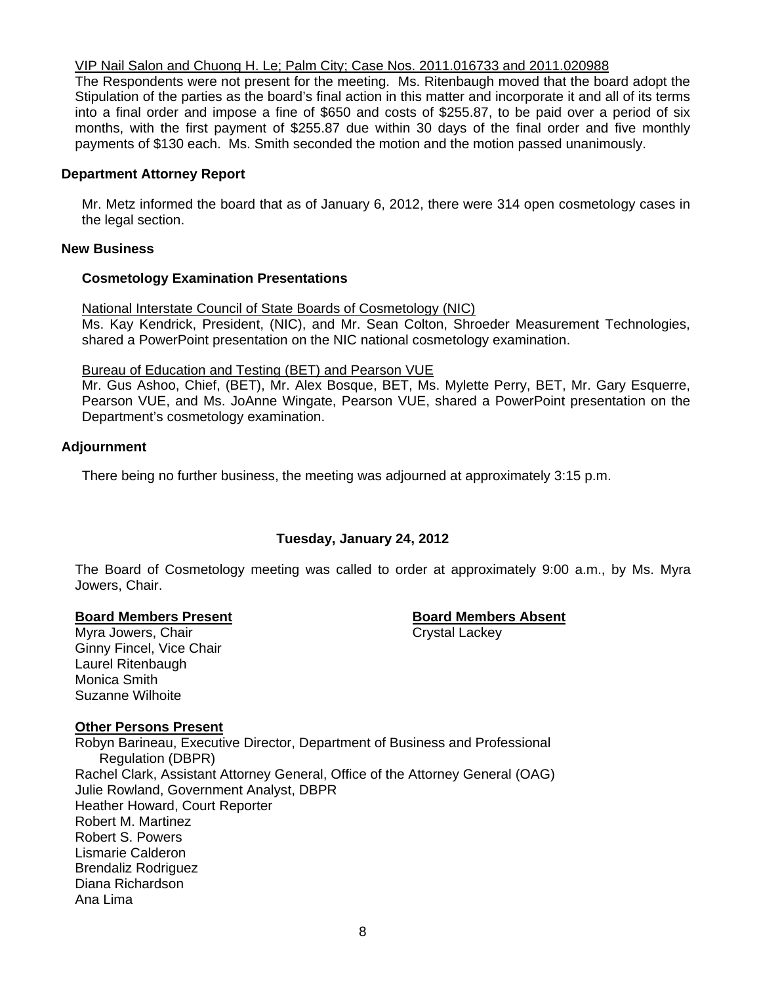# VIP Nail Salon and Chuong H. Le; Palm City; Case Nos. 2011.016733 and 2011.020988

The Respondents were not present for the meeting. Ms. Ritenbaugh moved that the board adopt the Stipulation of the parties as the board's final action in this matter and incorporate it and all of its terms into a final order and impose a fine of \$650 and costs of \$255.87, to be paid over a period of six months, with the first payment of \$255.87 due within 30 days of the final order and five monthly payments of \$130 each. Ms. Smith seconded the motion and the motion passed unanimously.

# **Department Attorney Report**

Mr. Metz informed the board that as of January 6, 2012, there were 314 open cosmetology cases in the legal section.

### **New Business**

# **Cosmetology Examination Presentations**

National Interstate Council of State Boards of Cosmetology (NIC)

Ms. Kay Kendrick, President, (NIC), and Mr. Sean Colton, Shroeder Measurement Technologies, shared a PowerPoint presentation on the NIC national cosmetology examination.

# Bureau of Education and Testing (BET) and Pearson VUE

Mr. Gus Ashoo, Chief, (BET), Mr. Alex Bosque, BET, Ms. Mylette Perry, BET, Mr. Gary Esquerre, Pearson VUE, and Ms. JoAnne Wingate, Pearson VUE, shared a PowerPoint presentation on the Department's cosmetology examination.

# **Adjournment**

There being no further business, the meeting was adjourned at approximately 3:15 p.m.

# **Tuesday, January 24, 2012**

The Board of Cosmetology meeting was called to order at approximately 9:00 a.m., by Ms. Myra Jowers, Chair.

#### **Board Members Present Communist Communist Board Members Absent**

Myra Jowers, Chair Chair Chair Crystal Lackey Ginny Fincel, Vice Chair Laurel Ritenbaugh Monica Smith Suzanne Wilhoite

# **Other Persons Present**

Robyn Barineau, Executive Director, Department of Business and Professional Regulation (DBPR) Rachel Clark, Assistant Attorney General, Office of the Attorney General (OAG) Julie Rowland, Government Analyst, DBPR Heather Howard, Court Reporter Robert M. Martinez Robert S. Powers Lismarie Calderon Brendaliz Rodriguez Diana Richardson Ana Lima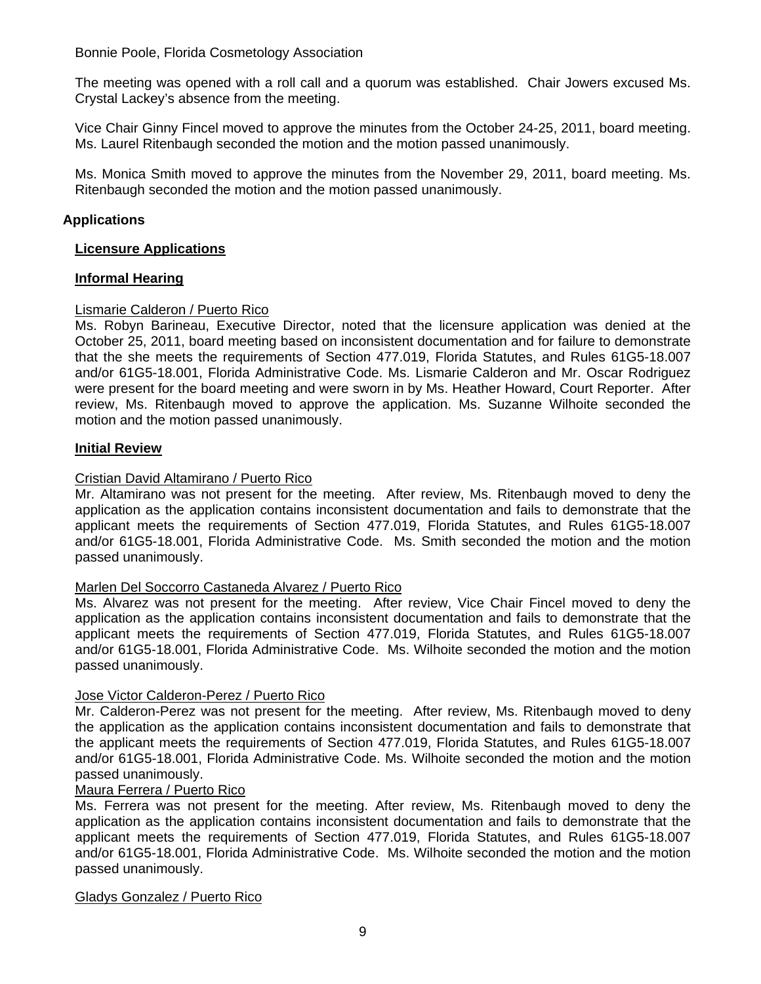Bonnie Poole, Florida Cosmetology Association

The meeting was opened with a roll call and a quorum was established. Chair Jowers excused Ms. Crystal Lackey's absence from the meeting.

Vice Chair Ginny Fincel moved to approve the minutes from the October 24-25, 2011, board meeting. Ms. Laurel Ritenbaugh seconded the motion and the motion passed unanimously.

Ms. Monica Smith moved to approve the minutes from the November 29, 2011, board meeting. Ms. Ritenbaugh seconded the motion and the motion passed unanimously.

# **Applications**

### **Licensure Applications**

# **Informal Hearing**

# Lismarie Calderon / Puerto Rico

Ms. Robyn Barineau, Executive Director, noted that the licensure application was denied at the October 25, 2011, board meeting based on inconsistent documentation and for failure to demonstrate that the she meets the requirements of Section 477.019, Florida Statutes, and Rules 61G5-18.007 and/or 61G5-18.001, Florida Administrative Code. Ms. Lismarie Calderon and Mr. Oscar Rodriguez were present for the board meeting and were sworn in by Ms. Heather Howard, Court Reporter. After review, Ms. Ritenbaugh moved to approve the application. Ms. Suzanne Wilhoite seconded the motion and the motion passed unanimously.

# **Initial Review**

# Cristian David Altamirano / Puerto Rico

Mr. Altamirano was not present for the meeting. After review, Ms. Ritenbaugh moved to deny the application as the application contains inconsistent documentation and fails to demonstrate that the applicant meets the requirements of Section 477.019, Florida Statutes, and Rules 61G5-18.007 and/or 61G5-18.001, Florida Administrative Code. Ms. Smith seconded the motion and the motion passed unanimously.

#### Marlen Del Soccorro Castaneda Alvarez / Puerto Rico

Ms. Alvarez was not present for the meeting. After review, Vice Chair Fincel moved to deny the application as the application contains inconsistent documentation and fails to demonstrate that the applicant meets the requirements of Section 477.019, Florida Statutes, and Rules 61G5-18.007 and/or 61G5-18.001, Florida Administrative Code. Ms. Wilhoite seconded the motion and the motion passed unanimously.

#### Jose Victor Calderon-Perez / Puerto Rico

Mr. Calderon-Perez was not present for the meeting. After review, Ms. Ritenbaugh moved to deny the application as the application contains inconsistent documentation and fails to demonstrate that the applicant meets the requirements of Section 477.019, Florida Statutes, and Rules 61G5-18.007 and/or 61G5-18.001, Florida Administrative Code. Ms. Wilhoite seconded the motion and the motion passed unanimously.

#### Maura Ferrera / Puerto Rico

Ms. Ferrera was not present for the meeting. After review, Ms. Ritenbaugh moved to deny the application as the application contains inconsistent documentation and fails to demonstrate that the applicant meets the requirements of Section 477.019, Florida Statutes, and Rules 61G5-18.007 and/or 61G5-18.001, Florida Administrative Code. Ms. Wilhoite seconded the motion and the motion passed unanimously.

#### Gladys Gonzalez / Puerto Rico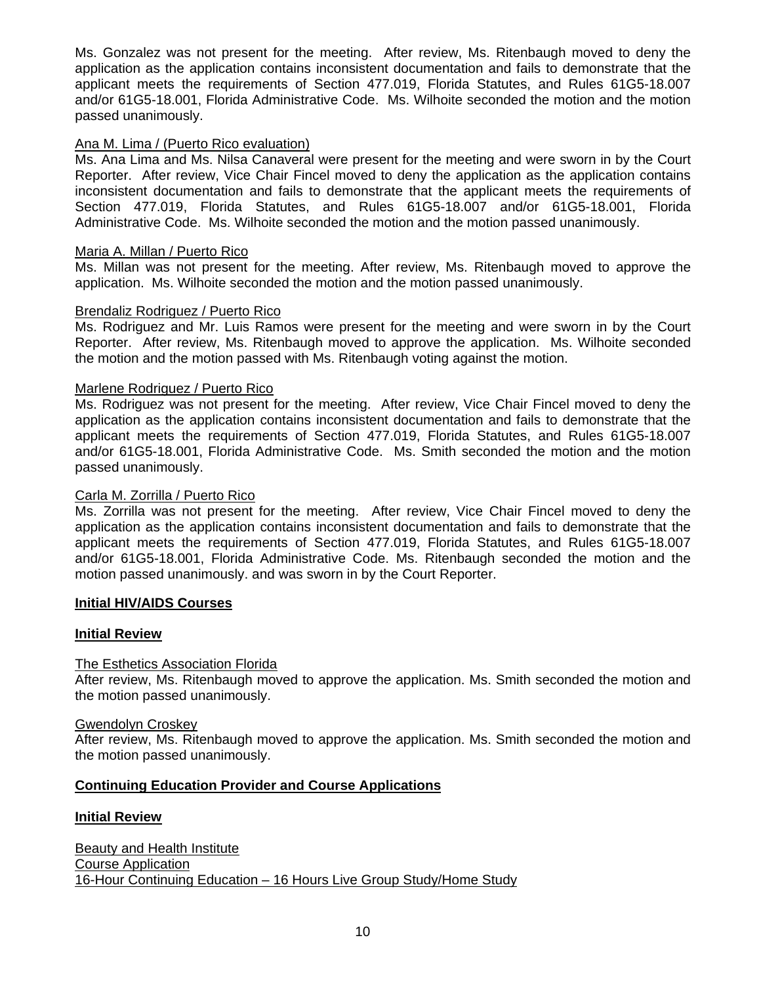Ms. Gonzalez was not present for the meeting. After review, Ms. Ritenbaugh moved to deny the application as the application contains inconsistent documentation and fails to demonstrate that the applicant meets the requirements of Section 477.019, Florida Statutes, and Rules 61G5-18.007 and/or 61G5-18.001, Florida Administrative Code. Ms. Wilhoite seconded the motion and the motion passed unanimously.

# Ana M. Lima / (Puerto Rico evaluation)

Ms. Ana Lima and Ms. Nilsa Canaveral were present for the meeting and were sworn in by the Court Reporter. After review, Vice Chair Fincel moved to deny the application as the application contains inconsistent documentation and fails to demonstrate that the applicant meets the requirements of Section 477.019, Florida Statutes, and Rules 61G5-18.007 and/or 61G5-18.001, Florida Administrative Code. Ms. Wilhoite seconded the motion and the motion passed unanimously.

# Maria A. Millan / Puerto Rico

Ms. Millan was not present for the meeting. After review, Ms. Ritenbaugh moved to approve the application. Ms. Wilhoite seconded the motion and the motion passed unanimously.

#### Brendaliz Rodriguez / Puerto Rico

Ms. Rodriguez and Mr. Luis Ramos were present for the meeting and were sworn in by the Court Reporter. After review, Ms. Ritenbaugh moved to approve the application. Ms. Wilhoite seconded the motion and the motion passed with Ms. Ritenbaugh voting against the motion.

# Marlene Rodriguez / Puerto Rico

Ms. Rodriguez was not present for the meeting. After review, Vice Chair Fincel moved to deny the application as the application contains inconsistent documentation and fails to demonstrate that the applicant meets the requirements of Section 477.019, Florida Statutes, and Rules 61G5-18.007 and/or 61G5-18.001, Florida Administrative Code. Ms. Smith seconded the motion and the motion passed unanimously.

#### Carla M. Zorrilla / Puerto Rico

Ms. Zorrilla was not present for the meeting. After review, Vice Chair Fincel moved to deny the application as the application contains inconsistent documentation and fails to demonstrate that the applicant meets the requirements of Section 477.019, Florida Statutes, and Rules 61G5-18.007 and/or 61G5-18.001, Florida Administrative Code. Ms. Ritenbaugh seconded the motion and the motion passed unanimously. and was sworn in by the Court Reporter.

#### **Initial HIV/AIDS Courses**

#### **Initial Review**

# The Esthetics Association Florida

After review, Ms. Ritenbaugh moved to approve the application. Ms. Smith seconded the motion and the motion passed unanimously.

#### Gwendolyn Croskey

After review, Ms. Ritenbaugh moved to approve the application. Ms. Smith seconded the motion and the motion passed unanimously.

#### **Continuing Education Provider and Course Applications**

#### **Initial Review**

Beauty and Health Institute Course Application 16-Hour Continuing Education – 16 Hours Live Group Study/Home Study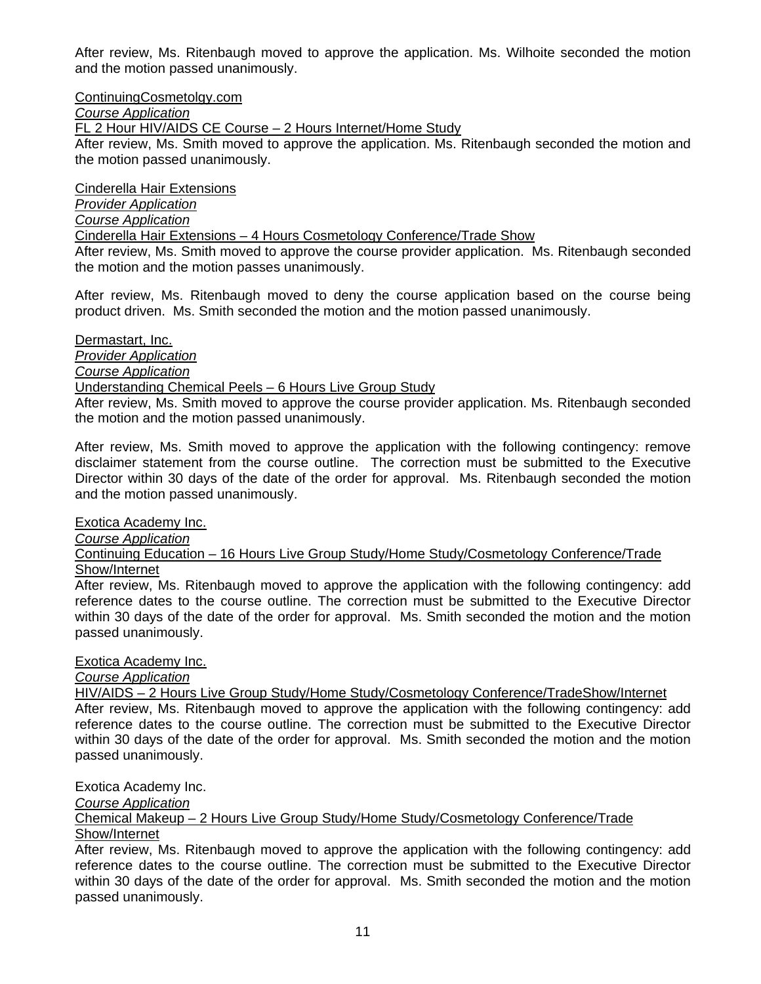After review, Ms. Ritenbaugh moved to approve the application. Ms. Wilhoite seconded the motion and the motion passed unanimously.

ContinuingCosmetolgy.com

*Course Application* 

FL 2 Hour HIV/AIDS CE Course – 2 Hours Internet/Home Study

After review, Ms. Smith moved to approve the application. Ms. Ritenbaugh seconded the motion and the motion passed unanimously.

Cinderella Hair Extensions

*Provider Application*

*Course Application*

Cinderella Hair Extensions – 4 Hours Cosmetology Conference/Trade Show

After review, Ms. Smith moved to approve the course provider application. Ms. Ritenbaugh seconded the motion and the motion passes unanimously.

After review, Ms. Ritenbaugh moved to deny the course application based on the course being product driven. Ms. Smith seconded the motion and the motion passed unanimously.

Dermastart, Inc.

*Provider Application*

*Course Application*

# Understanding Chemical Peels – 6 Hours Live Group Study

After review, Ms. Smith moved to approve the course provider application. Ms. Ritenbaugh seconded the motion and the motion passed unanimously.

After review, Ms. Smith moved to approve the application with the following contingency: remove disclaimer statement from the course outline. The correction must be submitted to the Executive Director within 30 days of the date of the order for approval. Ms. Ritenbaugh seconded the motion and the motion passed unanimously.

Exotica Academy Inc.

*Course Application*

Continuing Education – 16 Hours Live Group Study/Home Study/Cosmetology Conference/Trade Show/Internet

After review, Ms. Ritenbaugh moved to approve the application with the following contingency: add reference dates to the course outline. The correction must be submitted to the Executive Director within 30 days of the date of the order for approval. Ms. Smith seconded the motion and the motion passed unanimously.

#### Exotica Academy Inc.

*Course Application*

HIV/AIDS – 2 Hours Live Group Study/Home Study/Cosmetology Conference/TradeShow/Internet

After review, Ms. Ritenbaugh moved to approve the application with the following contingency: add reference dates to the course outline. The correction must be submitted to the Executive Director within 30 days of the date of the order for approval. Ms. Smith seconded the motion and the motion passed unanimously.

Exotica Academy Inc.

*Course Application*

Chemical Makeup – 2 Hours Live Group Study/Home Study/Cosmetology Conference/Trade

Show/Internet

After review, Ms. Ritenbaugh moved to approve the application with the following contingency: add reference dates to the course outline. The correction must be submitted to the Executive Director within 30 days of the date of the order for approval. Ms. Smith seconded the motion and the motion passed unanimously.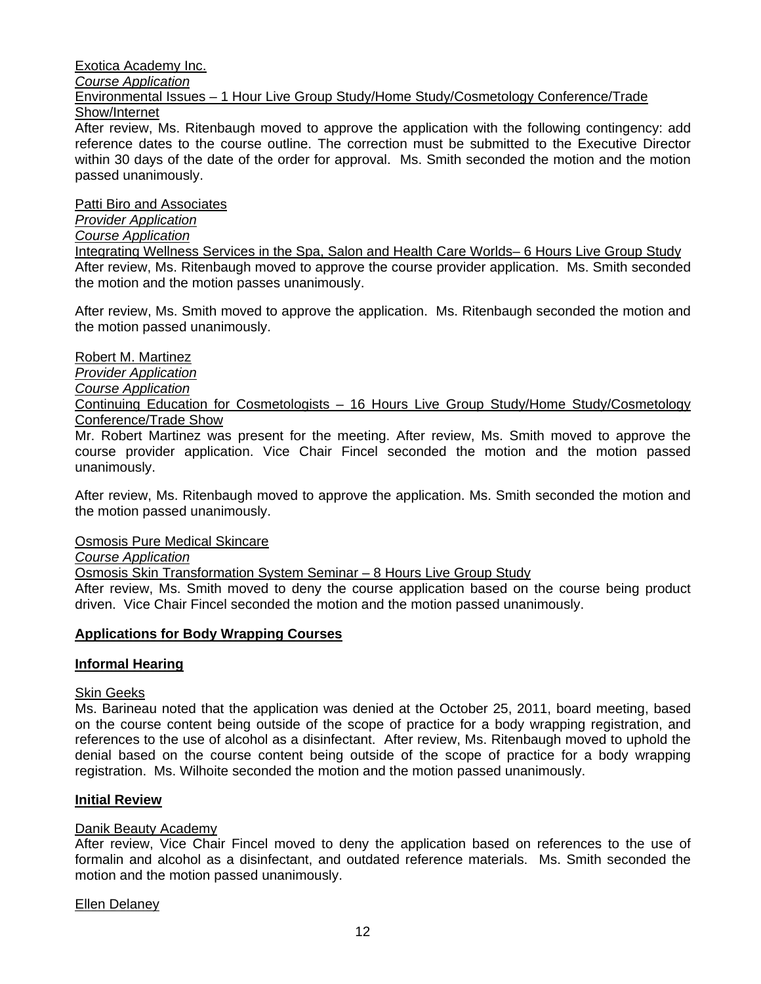#### Exotica Academy Inc. *Course Application* Environmental Issues – 1 Hour Live Group Study/Home Study/Cosmetology Conference/Trade Show/Internet

After review, Ms. Ritenbaugh moved to approve the application with the following contingency: add reference dates to the course outline. The correction must be submitted to the Executive Director within 30 days of the date of the order for approval. Ms. Smith seconded the motion and the motion passed unanimously.

Patti Biro and Associates

# *Provider Application*

# *Course Application*

Integrating Wellness Services in the Spa, Salon and Health Care Worlds– 6 Hours Live Group Study After review, Ms. Ritenbaugh moved to approve the course provider application. Ms. Smith seconded the motion and the motion passes unanimously.

After review, Ms. Smith moved to approve the application. Ms. Ritenbaugh seconded the motion and the motion passed unanimously.

Robert M. Martinez

*Provider Application*

*Course Application* 

Continuing Education for Cosmetologists – 16 Hours Live Group Study/Home Study/Cosmetology Conference/Trade Show

Mr. Robert Martinez was present for the meeting. After review, Ms. Smith moved to approve the course provider application. Vice Chair Fincel seconded the motion and the motion passed unanimously.

After review, Ms. Ritenbaugh moved to approve the application. Ms. Smith seconded the motion and the motion passed unanimously.

Osmosis Pure Medical Skincare

*Course Application* 

Osmosis Skin Transformation System Seminar – 8 Hours Live Group Study

After review, Ms. Smith moved to deny the course application based on the course being product driven. Vice Chair Fincel seconded the motion and the motion passed unanimously.

# **Applications for Body Wrapping Courses**

# **Informal Hearing**

# Skin Geeks

Ms. Barineau noted that the application was denied at the October 25, 2011, board meeting, based on the course content being outside of the scope of practice for a body wrapping registration, and references to the use of alcohol as a disinfectant. After review, Ms. Ritenbaugh moved to uphold the denial based on the course content being outside of the scope of practice for a body wrapping registration. Ms. Wilhoite seconded the motion and the motion passed unanimously.

# **Initial Review**

# Danik Beauty Academy

After review, Vice Chair Fincel moved to deny the application based on references to the use of formalin and alcohol as a disinfectant, and outdated reference materials. Ms. Smith seconded the motion and the motion passed unanimously.

# Ellen Delaney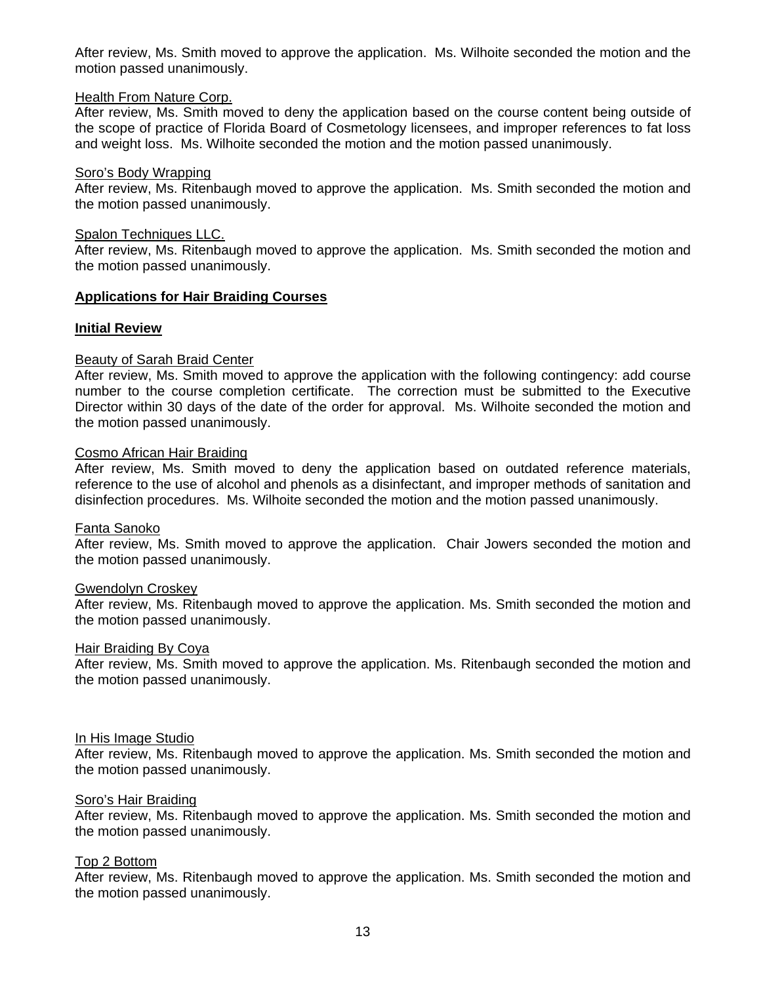After review, Ms. Smith moved to approve the application. Ms. Wilhoite seconded the motion and the motion passed unanimously.

#### Health From Nature Corp.

After review, Ms. Smith moved to deny the application based on the course content being outside of the scope of practice of Florida Board of Cosmetology licensees, and improper references to fat loss and weight loss. Ms. Wilhoite seconded the motion and the motion passed unanimously.

#### Soro's Body Wrapping

After review, Ms. Ritenbaugh moved to approve the application. Ms. Smith seconded the motion and the motion passed unanimously.

#### Spalon Techniques LLC.

After review, Ms. Ritenbaugh moved to approve the application. Ms. Smith seconded the motion and the motion passed unanimously.

#### **Applications for Hair Braiding Courses**

#### **Initial Review**

#### Beauty of Sarah Braid Center

After review, Ms. Smith moved to approve the application with the following contingency: add course number to the course completion certificate. The correction must be submitted to the Executive Director within 30 days of the date of the order for approval. Ms. Wilhoite seconded the motion and the motion passed unanimously.

# Cosmo African Hair Braiding

After review, Ms. Smith moved to deny the application based on outdated reference materials, reference to the use of alcohol and phenols as a disinfectant, and improper methods of sanitation and disinfection procedures. Ms. Wilhoite seconded the motion and the motion passed unanimously.

#### Fanta Sanoko

After review, Ms. Smith moved to approve the application. Chair Jowers seconded the motion and the motion passed unanimously.

#### Gwendolyn Croskey

After review, Ms. Ritenbaugh moved to approve the application. Ms. Smith seconded the motion and the motion passed unanimously.

#### Hair Braiding By Coya

After review, Ms. Smith moved to approve the application. Ms. Ritenbaugh seconded the motion and the motion passed unanimously.

#### In His Image Studio

After review, Ms. Ritenbaugh moved to approve the application. Ms. Smith seconded the motion and the motion passed unanimously.

#### Soro's Hair Braiding

After review, Ms. Ritenbaugh moved to approve the application. Ms. Smith seconded the motion and the motion passed unanimously.

#### Top 2 Bottom

After review, Ms. Ritenbaugh moved to approve the application. Ms. Smith seconded the motion and the motion passed unanimously.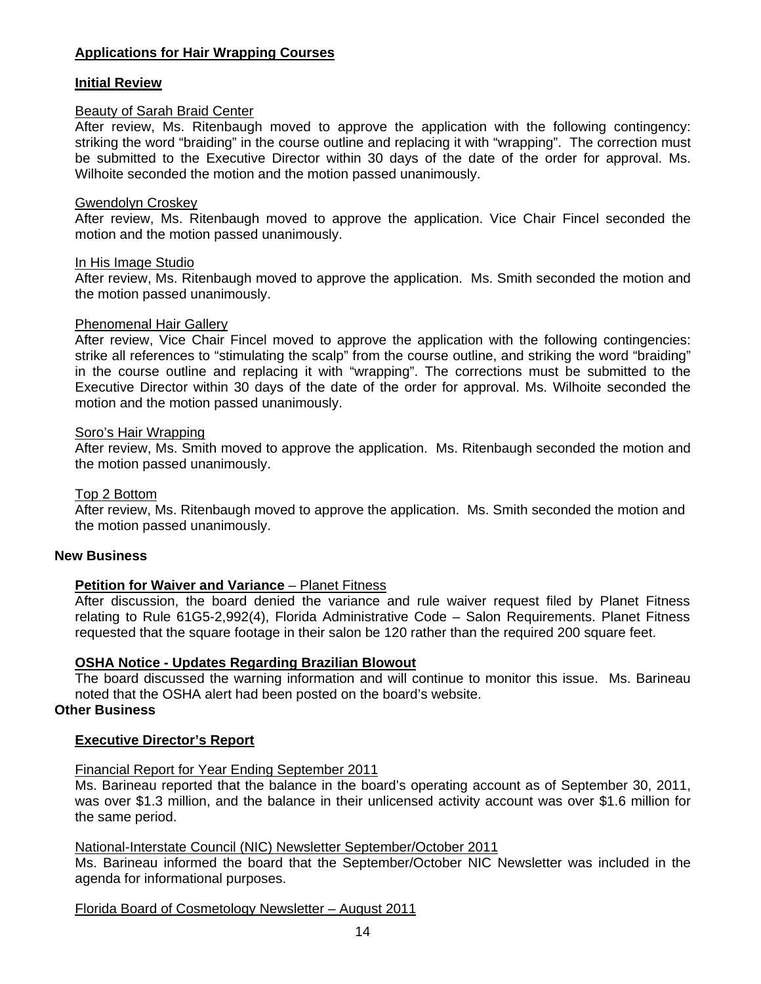# **Applications for Hair Wrapping Courses**

#### **Initial Review**

#### Beauty of Sarah Braid Center

After review, Ms. Ritenbaugh moved to approve the application with the following contingency: striking the word "braiding" in the course outline and replacing it with "wrapping". The correction must be submitted to the Executive Director within 30 days of the date of the order for approval. Ms. Wilhoite seconded the motion and the motion passed unanimously.

#### Gwendolyn Croskey

After review, Ms. Ritenbaugh moved to approve the application. Vice Chair Fincel seconded the motion and the motion passed unanimously.

#### In His Image Studio

After review, Ms. Ritenbaugh moved to approve the application. Ms. Smith seconded the motion and the motion passed unanimously.

#### Phenomenal Hair Gallery

After review, Vice Chair Fincel moved to approve the application with the following contingencies: strike all references to "stimulating the scalp" from the course outline, and striking the word "braiding" in the course outline and replacing it with "wrapping". The corrections must be submitted to the Executive Director within 30 days of the date of the order for approval. Ms. Wilhoite seconded the motion and the motion passed unanimously.

#### Soro's Hair Wrapping

After review, Ms. Smith moved to approve the application. Ms. Ritenbaugh seconded the motion and the motion passed unanimously.

#### Top 2 Bottom

After review, Ms. Ritenbaugh moved to approve the application. Ms. Smith seconded the motion and the motion passed unanimously.

#### **New Business**

#### **Petition for Waiver and Variance** – Planet Fitness

After discussion, the board denied the variance and rule waiver request filed by Planet Fitness relating to Rule 61G5-2,992(4), Florida Administrative Code – Salon Requirements. Planet Fitness requested that the square footage in their salon be 120 rather than the required 200 square feet.

#### **OSHA Notice - Updates Regarding Brazilian Blowout**

The board discussed the warning information and will continue to monitor this issue. Ms. Barineau noted that the OSHA alert had been posted on the board's website.

# **Other Business**

#### **Executive Director's Report**

#### Financial Report for Year Ending September 2011

Ms. Barineau reported that the balance in the board's operating account as of September 30, 2011, was over \$1.3 million, and the balance in their unlicensed activity account was over \$1.6 million for the same period.

# National-Interstate Council (NIC) Newsletter September/October 2011

Ms. Barineau informed the board that the September/October NIC Newsletter was included in the agenda for informational purposes.

#### Florida Board of Cosmetology Newsletter – August 2011